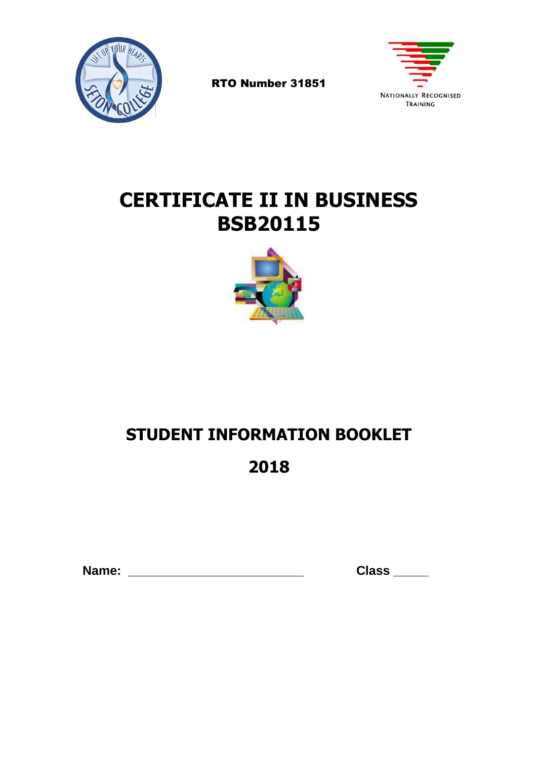

RTO Number 31851



# **CERTIFICATE II IN BUSINESS BSB20115**



# **STUDENT INFORMATION BOOKLET**

# **2018**

 **Name: \_\_\_\_\_\_\_\_\_\_\_\_\_\_\_\_\_\_\_\_\_\_\_\_\_ Class \_\_\_\_\_**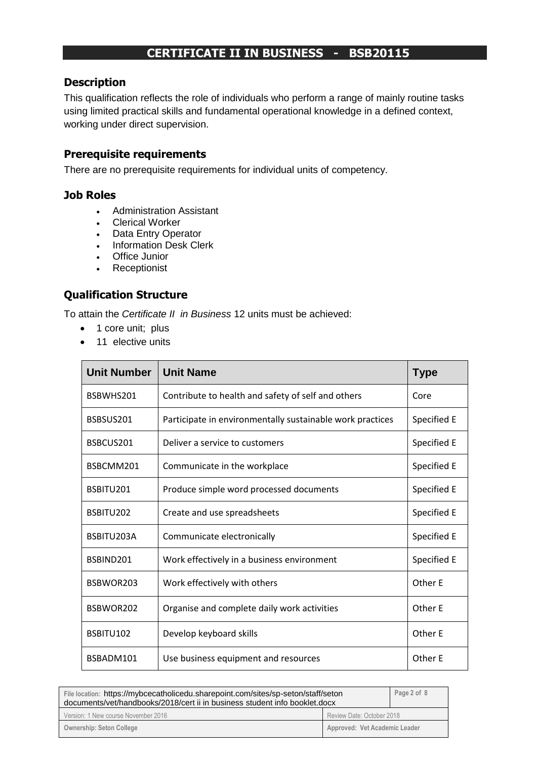# **CERTIFICATE II IN BUSINESS - BSB20115**

#### **Description**

This qualification reflects the role of individuals who perform a range of mainly routine tasks using limited practical skills and fundamental operational knowledge in a defined context, working under direct supervision.

#### **Prerequisite requirements**

There are no prerequisite requirements for individual units of competency.

#### **Job Roles**

- Administration Assistant
- Clerical Worker
- Data Entry Operator
- Information Desk Clerk
- Office Junior
- Receptionist

## **Qualification Structure**

To attain the *Certificate II in Business* 12 units must be achieved:

- 1 core unit; plus
- 11 elective units

| <b>Unit Number</b> | <b>Unit Name</b>                                          | <b>Type</b> |
|--------------------|-----------------------------------------------------------|-------------|
| BSBWHS201          | Contribute to health and safety of self and others        | Core        |
| BSBSUS201          | Participate in environmentally sustainable work practices | Specified E |
| BSBCUS201          | Deliver a service to customers                            | Specified E |
| BSBCMM201          | Communicate in the workplace                              | Specified E |
| BSBITU201          | Produce simple word processed documents                   | Specified E |
| BSBITU202          | Create and use spreadsheets                               | Specified E |
| BSBITU203A         | Communicate electronically                                | Specified E |
| BSBIND201          | Work effectively in a business environment                | Specified E |
| BSBWOR203          | Work effectively with others                              | Other E     |
| BSBWOR202          | Organise and complete daily work activities               | Other E     |
| BSBITU102          | Develop keyboard skills                                   | Other E     |
| BSBADM101          | Use business equipment and resources                      | Other E     |

| File location: https://mybcecatholicedu.sharepoint.com/sites/sp-seton/staff/seton<br>documents/vet/handbooks/2018/cert ii in business student info booklet.docx |                               | Page 2 of 8 |
|-----------------------------------------------------------------------------------------------------------------------------------------------------------------|-------------------------------|-------------|
| Version: 1 New course November 2016                                                                                                                             | Review Date: October 2018     |             |
| <b>Ownership: Seton College</b>                                                                                                                                 | Approved: Vet Academic Leader |             |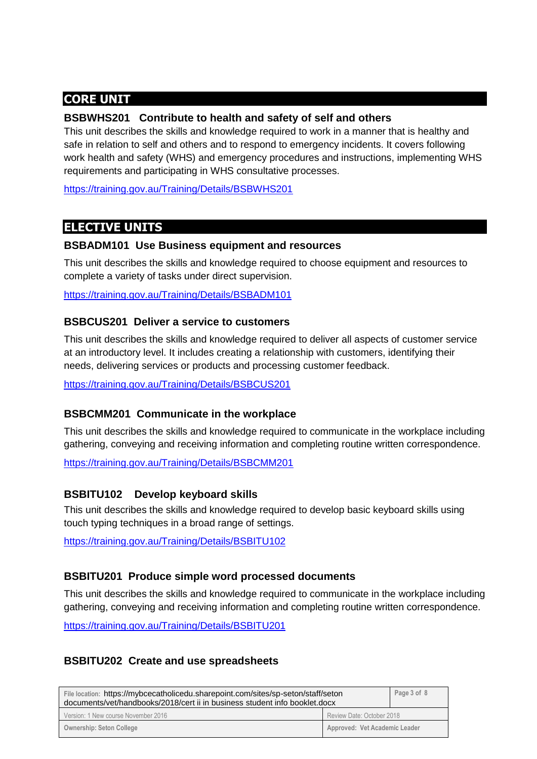# **CORE UNIT**

#### **BSBWHS201 Contribute to health and safety of self and others**

This unit describes the skills and knowledge required to work in a manner that is healthy and safe in relation to self and others and to respond to emergency incidents. It covers following work health and safety (WHS) and emergency procedures and instructions, implementing WHS requirements and participating in WHS consultative processes.

<https://training.gov.au/Training/Details/BSBWHS201>

# **ELECTIVE UNITS**

#### **BSBADM101 Use Business equipment and resources**

This unit describes the skills and knowledge required to choose equipment and resources to complete a variety of tasks under direct supervision.

<https://training.gov.au/Training/Details/BSBADM101>

#### **BSBCUS201 Deliver a service to customers**

This unit describes the skills and knowledge required to deliver all aspects of customer service at an introductory level. It includes creating a relationship with customers, identifying their needs, delivering services or products and processing customer feedback.

<https://training.gov.au/Training/Details/BSBCUS201>

## **BSBCMM201 Communicate in the workplace**

This unit describes the skills and knowledge required to communicate in the workplace including gathering, conveying and receiving information and completing routine written correspondence.

<https://training.gov.au/Training/Details/BSBCMM201>

#### **BSBITU102 Develop keyboard skills**

This unit describes the skills and knowledge required to develop basic keyboard skills using touch typing techniques in a broad range of settings.

<https://training.gov.au/Training/Details/BSBITU102>

## **BSBITU201 Produce simple word processed documents**

This unit describes the skills and knowledge required to communicate in the workplace including gathering, conveying and receiving information and completing routine written correspondence.

<https://training.gov.au/Training/Details/BSBITU201>

## **BSBITU202 Create and use spreadsheets**

| File location: https://mybcecatholicedu.sharepoint.com/sites/sp-seton/staff/seton<br>documents/vet/handbooks/2018/cert ii in business student info booklet.docx |                               | Page 3 of 8 |
|-----------------------------------------------------------------------------------------------------------------------------------------------------------------|-------------------------------|-------------|
| Version: 1 New course November 2016                                                                                                                             | Review Date: October 2018     |             |
| <b>Ownership: Seton College</b>                                                                                                                                 | Approved: Vet Academic Leader |             |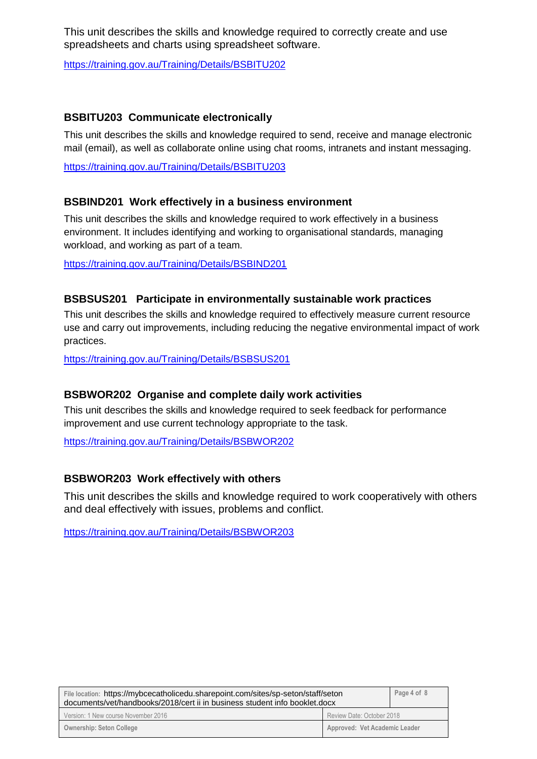This unit describes the skills and knowledge required to correctly create and use spreadsheets and charts using spreadsheet software.

<https://training.gov.au/Training/Details/BSBITU202>

#### **BSBITU203 Communicate electronically**

This unit describes the skills and knowledge required to send, receive and manage electronic mail (email), as well as collaborate online using chat rooms, intranets and instant messaging.

<https://training.gov.au/Training/Details/BSBITU203>

#### **BSBIND201 Work effectively in a business environment**

This unit describes the skills and knowledge required to work effectively in a business environment. It includes identifying and working to organisational standards, managing workload, and working as part of a team.

<https://training.gov.au/Training/Details/BSBIND201>

#### **BSBSUS201 Participate in environmentally sustainable work practices**

This unit describes the skills and knowledge required to effectively measure current resource use and carry out improvements, including reducing the negative environmental impact of work practices.

<https://training.gov.au/Training/Details/BSBSUS201>

#### **BSBWOR202 Organise and complete daily work activities**

This unit describes the skills and knowledge required to seek feedback for performance improvement and use current technology appropriate to the task.

<https://training.gov.au/Training/Details/BSBWOR202>

#### **BSBWOR203 Work effectively with others**

This unit describes the skills and knowledge required to work cooperatively with others and deal effectively with issues, problems and conflict.

<https://training.gov.au/Training/Details/BSBWOR203>

| File location: https://mybcecatholicedu.sharepoint.com/sites/sp-seton/staff/seton<br>documents/vet/handbooks/2018/cert ii in business student info booklet.docx |                               | Page 4 of 8 |
|-----------------------------------------------------------------------------------------------------------------------------------------------------------------|-------------------------------|-------------|
| Version: 1 New course November 2016                                                                                                                             | Review Date: October 2018     |             |
| <b>Ownership: Seton College</b>                                                                                                                                 | Approved: Vet Academic Leader |             |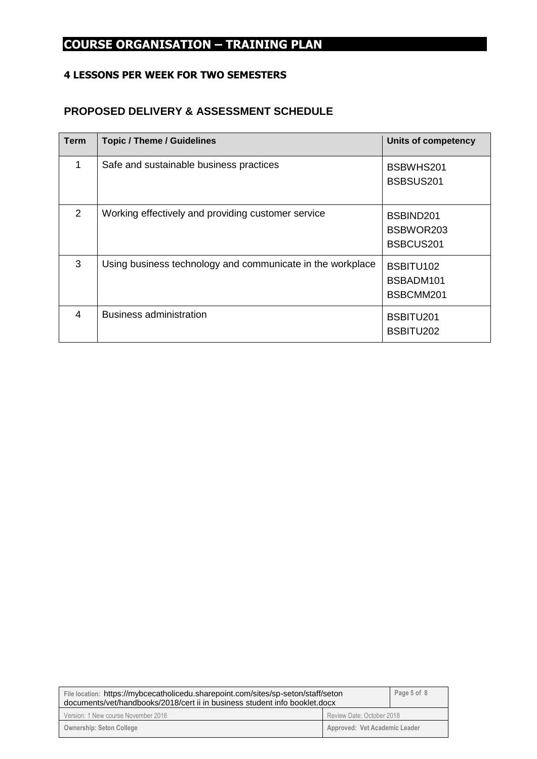# **COURSE ORGANISATION – TRAINING PLAN**

#### **4 LESSONS PER WEEK FOR TWO SEMESTERS**

#### **PROPOSED DELIVERY & ASSESSMENT SCHEDULE**

| Term           | <b>Topic / Theme / Guidelines</b>                          | <b>Units of competency</b>          |
|----------------|------------------------------------------------------------|-------------------------------------|
| 1              | Safe and sustainable business practices                    | BSBWHS201<br>BSBSUS201              |
| 2              | Working effectively and providing customer service         | BSBIND201<br>BSBWOR203<br>BSBCUS201 |
| 3              | Using business technology and communicate in the workplace | BSBITU102<br>BSBADM101<br>BSBCMM201 |
| $\overline{4}$ | <b>Business administration</b>                             | BSBITU201<br>BSBITU202              |

| File location: https://mybcecatholicedu.sharepoint.com/sites/sp-seton/staff/seton<br>documents/vet/handbooks/2018/cert ii in business student info booklet.docx |                               | Page 5 of 8 |
|-----------------------------------------------------------------------------------------------------------------------------------------------------------------|-------------------------------|-------------|
| Version: 1 New course November 2016                                                                                                                             | Review Date: October 2018     |             |
| <b>Ownership: Seton College</b>                                                                                                                                 | Approved: Vet Academic Leader |             |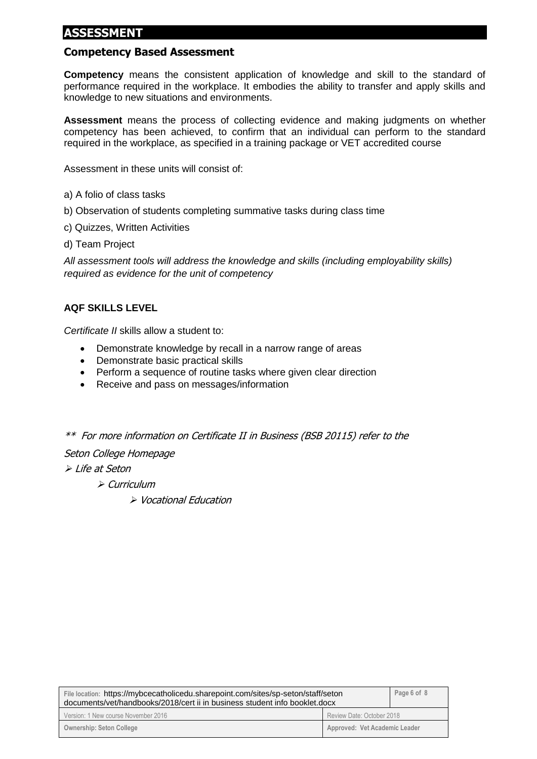# **ASSESSMENT**

#### **Competency Based Assessment**

**Competency** means the consistent application of knowledge and skill to the standard of performance required in the workplace. It embodies the ability to transfer and apply skills and knowledge to new situations and environments.

**Assessment** means the process of collecting evidence and making judgments on whether competency has been achieved, to confirm that an individual can perform to the standard required in the workplace, as specified in a training package or VET accredited course

Assessment in these units will consist of:

- a) A folio of class tasks
- b) Observation of students completing summative tasks during class time
- c) Quizzes, Written Activities
- d) Team Project

*All assessment tools will address the knowledge and skills (including employability skills) required as evidence for the unit of competency*

#### **AQF SKILLS LEVEL**

*Certificate II* skills allow a student to:

- Demonstrate knowledge by recall in a narrow range of areas
- Demonstrate basic practical skills
- Perform a sequence of routine tasks where given clear direction
- Receive and pass on messages/information

\*\* For more information on Certificate II in Business (BSB 20115) refer to the

Seton College Homepage

➢ Life at Seton

➢ Curriculum

➢ Vocational Education

| File location: https://mybcecatholicedu.sharepoint.com/sites/sp-seton/staff/seton<br>documents/vet/handbooks/2018/cert ii in business student info booklet.docx |                               | Page 6 of 8 |
|-----------------------------------------------------------------------------------------------------------------------------------------------------------------|-------------------------------|-------------|
| Version: 1 New course November 2016                                                                                                                             | Review Date: October 2018     |             |
| <b>Ownership: Seton College</b>                                                                                                                                 | Approved: Vet Academic Leader |             |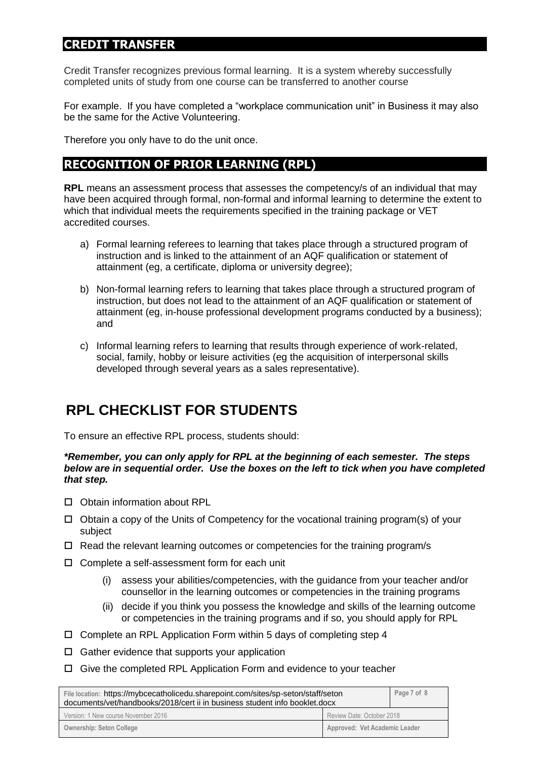## **CREDIT TRANSFER**

Credit Transfer recognizes previous formal learning. It is a system whereby successfully completed units of study from one course can be transferred to another course

For example. If you have completed a "workplace communication unit" in Business it may also be the same for the Active Volunteering.

Therefore you only have to do the unit once.

# **RECOGNITION OF PRIOR LEARNING (RPL)**

**RPL** means an assessment process that assesses the competency/s of an individual that may have been acquired through formal, non-formal and informal learning to determine the extent to which that individual meets the requirements specified in the training package or VET accredited courses.

- a) Formal learning referees to learning that takes place through a structured program of instruction and is linked to the attainment of an AQF qualification or statement of attainment (eg, a certificate, diploma or university degree);
- b) Non-formal learning refers to learning that takes place through a structured program of instruction, but does not lead to the attainment of an AQF qualification or statement of attainment (eg, in-house professional development programs conducted by a business); and
- c) Informal learning refers to learning that results through experience of work-related, social, family, hobby or leisure activities (eg the acquisition of interpersonal skills developed through several years as a sales representative).

# **RPL CHECKLIST FOR STUDENTS**

To ensure an effective RPL process, students should:

#### *\*Remember, you can only apply for RPL at the beginning of each semester. The steps below are in sequential order. Use the boxes on the left to tick when you have completed that step.*

- □ Obtain information about RPL
- $\Box$  Obtain a copy of the Units of Competency for the vocational training program(s) of your subject
- $\Box$  Read the relevant learning outcomes or competencies for the training program/s
- $\Box$  Complete a self-assessment form for each unit
	- (i) assess your abilities/competencies, with the guidance from your teacher and/or counsellor in the learning outcomes or competencies in the training programs
	- (ii) decide if you think you possess the knowledge and skills of the learning outcome or competencies in the training programs and if so, you should apply for RPL
- $\Box$  Complete an RPL Application Form within 5 days of completing step 4
- $\Box$  Gather evidence that supports your application
- $\Box$  Give the completed RPL Application Form and evidence to your teacher

| File location: https://mybcecatholicedu.sharepoint.com/sites/sp-seton/staff/seton<br>documents/vet/handbooks/2018/cert ii in business student info booklet.docx |                               | Page 7 of 8 |
|-----------------------------------------------------------------------------------------------------------------------------------------------------------------|-------------------------------|-------------|
| Version: 1 New course November 2016                                                                                                                             | Review Date: October 2018     |             |
| <b>Ownership: Seton College</b>                                                                                                                                 | Approved: Vet Academic Leader |             |